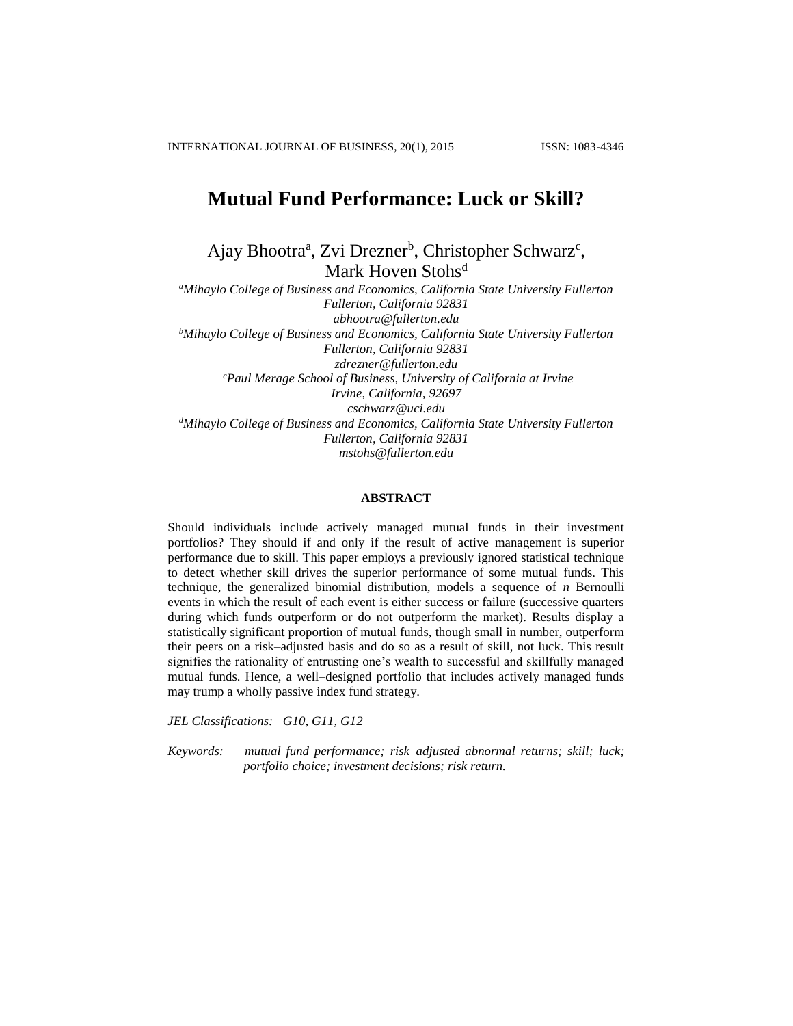# **Mutual Fund Performance: Luck or Skill?**

Ajay Bhootra<sup>a</sup>, Zvi Drezner<sup>b</sup>, Christopher Schwarz<sup>c</sup>, Mark Hoven Stohs<sup>d</sup>

*<sup>a</sup>Mihaylo College of Business and Economics, California State University Fullerton Fullerton, California 92831 abhootra@fullerton.edu <sup>b</sup>Mihaylo College of Business and Economics, California State University Fullerton Fullerton, California 92831 zdrezner@fullerton.edu <sup>c</sup>Paul Merage School of Business, University of California at Irvine Irvine, California, 92697 [cschwarz@uci.edu](mailto:cschwarz@uci.edu) <sup>d</sup>Mihaylo College of Business and Economics, California State University Fullerton Fullerton, California 92831 mstohs@fullerton.edu*

# **ABSTRACT**

Should individuals include actively managed mutual funds in their investment portfolios? They should if and only if the result of active management is superior performance due to skill. This paper employs a previously ignored statistical technique to detect whether skill drives the superior performance of some mutual funds. This technique, the generalized binomial distribution, models a sequence of *n* Bernoulli events in which the result of each event is either success or failure (successive quarters during which funds outperform or do not outperform the market). Results display a statistically significant proportion of mutual funds, though small in number, outperform their peers on a risk–adjusted basis and do so as a result of skill, not luck. This result signifies the rationality of entrusting one's wealth to successful and skillfully managed mutual funds. Hence, a well–designed portfolio that includes actively managed funds may trump a wholly passive index fund strategy.

*JEL Classifications: G10, G11, G12*

*Keywords: mutual fund performance; risk–adjusted abnormal returns; skill; luck; portfolio choice; investment decisions; risk return.*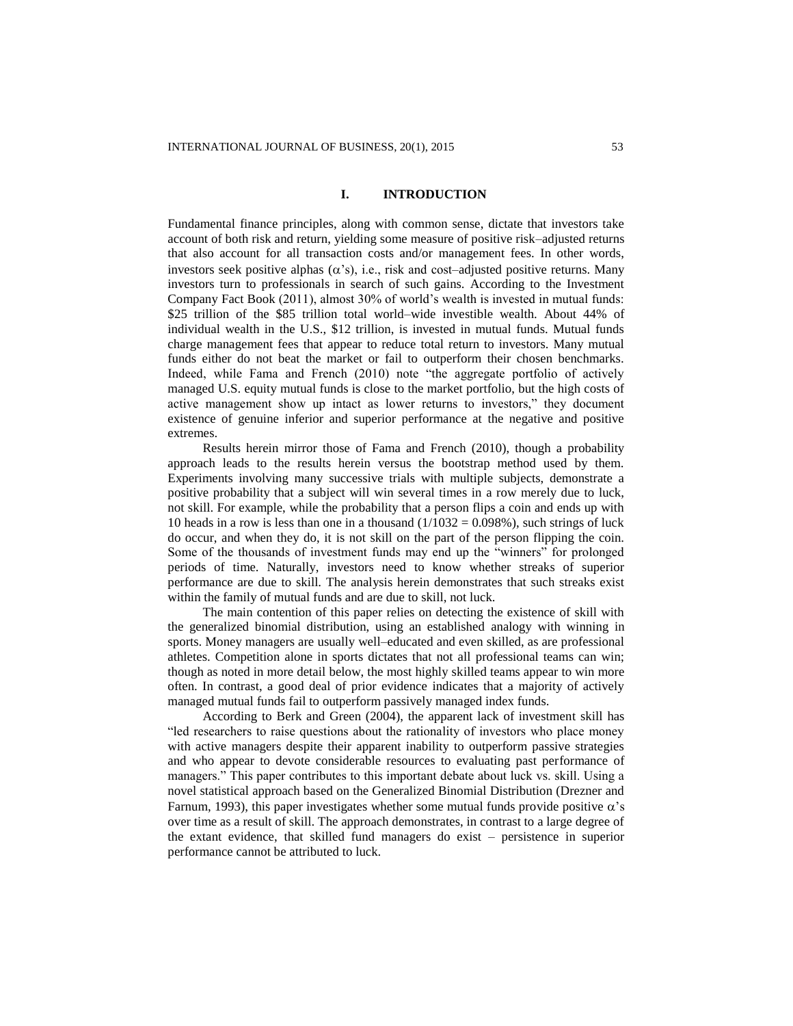# **I. INTRODUCTION**

Fundamental finance principles, along with common sense, dictate that investors take account of both risk and return, yielding some measure of positive risk–adjusted returns that also account for all transaction costs and/or management fees. In other words, investors seek positive alphas  $(\alpha's)$ , i.e., risk and cost–adjusted positive returns. Many investors turn to professionals in search of such gains. According to the Investment Company Fact Book (2011), almost 30% of world's wealth is invested in mutual funds: \$25 trillion of the \$85 trillion total world–wide investible wealth. About 44% of individual wealth in the U.S., \$12 trillion, is invested in mutual funds. Mutual funds charge management fees that appear to reduce total return to investors. Many mutual funds either do not beat the market or fail to outperform their chosen benchmarks. Indeed, while Fama and French (2010) note "the aggregate portfolio of actively managed U.S. equity mutual funds is close to the market portfolio, but the high costs of active management show up intact as lower returns to investors," they document existence of genuine inferior and superior performance at the negative and positive extremes.

Results herein mirror those of Fama and French (2010), though a probability approach leads to the results herein versus the bootstrap method used by them. Experiments involving many successive trials with multiple subjects, demonstrate a positive probability that a subject will win several times in a row merely due to luck, not skill. For example, while the probability that a person flips a coin and ends up with 10 heads in a row is less than one in a thousand  $(1/1032 = 0.098\%)$ , such strings of luck do occur, and when they do, it is not skill on the part of the person flipping the coin. Some of the thousands of investment funds may end up the "winners" for prolonged periods of time. Naturally, investors need to know whether streaks of superior performance are due to skill. The analysis herein demonstrates that such streaks exist within the family of mutual funds and are due to skill, not luck.

The main contention of this paper relies on detecting the existence of skill with the generalized binomial distribution, using an established analogy with winning in sports. Money managers are usually well–educated and even skilled, as are professional athletes. Competition alone in sports dictates that not all professional teams can win; though as noted in more detail below, the most highly skilled teams appear to win more often. In contrast, a good deal of prior evidence indicates that a majority of actively managed mutual funds fail to outperform passively managed index funds.

According to Berk and Green (2004), the apparent lack of investment skill has "led researchers to raise questions about the rationality of investors who place money with active managers despite their apparent inability to outperform passive strategies and who appear to devote considerable resources to evaluating past performance of managers." This paper contributes to this important debate about luck vs. skill. Using a novel statistical approach based on the Generalized Binomial Distribution (Drezner and Farnum, 1993), this paper investigates whether some mutual funds provide positive  $\alpha$ 's over time as a result of skill. The approach demonstrates, in contrast to a large degree of the extant evidence, that skilled fund managers do exist – persistence in superior performance cannot be attributed to luck.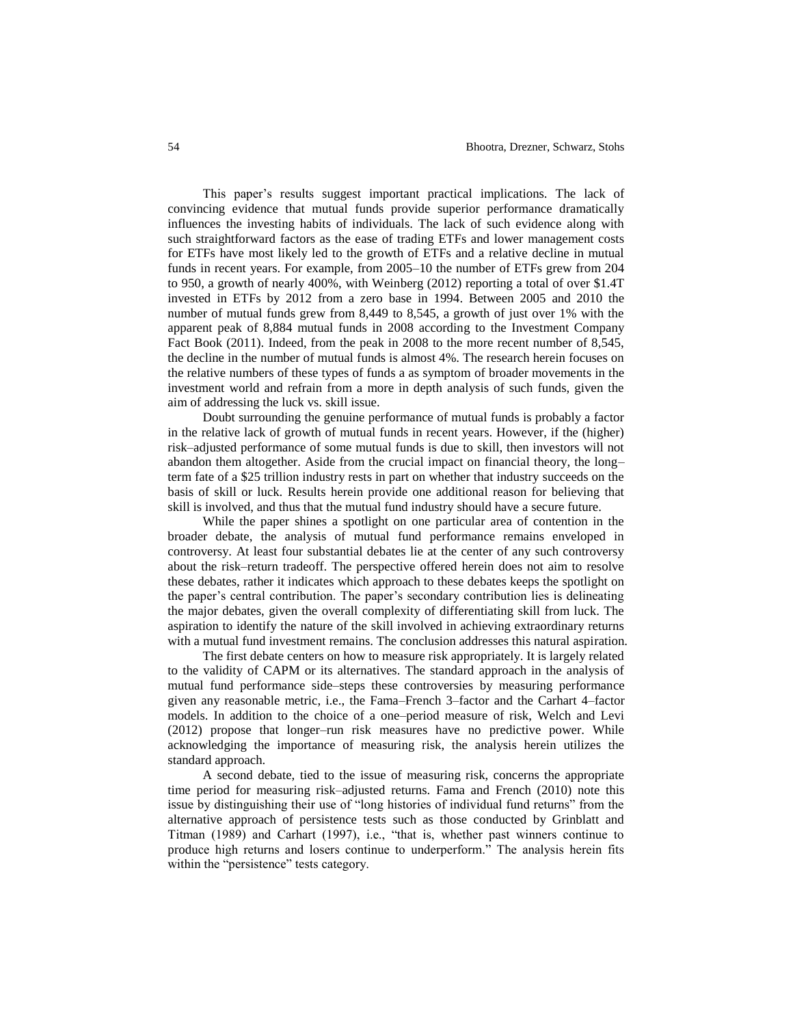This paper's results suggest important practical implications. The lack of convincing evidence that mutual funds provide superior performance dramatically influences the investing habits of individuals. The lack of such evidence along with such straightforward factors as the ease of trading ETFs and lower management costs for ETFs have most likely led to the growth of ETFs and a relative decline in mutual funds in recent years. For example, from 2005–10 the number of ETFs grew from 204 to 950, a growth of nearly 400%, with Weinberg (2012) reporting a total of over \$1.4T invested in ETFs by 2012 from a zero base in 1994. Between 2005 and 2010 the number of mutual funds grew from 8,449 to 8,545, a growth of just over 1% with the apparent peak of 8,884 mutual funds in 2008 according to the Investment Company Fact Book (2011). Indeed, from the peak in 2008 to the more recent number of 8,545, the decline in the number of mutual funds is almost 4%. The research herein focuses on the relative numbers of these types of funds a as symptom of broader movements in the investment world and refrain from a more in depth analysis of such funds, given the aim of addressing the luck vs. skill issue.

Doubt surrounding the genuine performance of mutual funds is probably a factor in the relative lack of growth of mutual funds in recent years. However, if the (higher) risk–adjusted performance of some mutual funds is due to skill, then investors will not abandon them altogether. Aside from the crucial impact on financial theory, the long– term fate of a \$25 trillion industry rests in part on whether that industry succeeds on the basis of skill or luck. Results herein provide one additional reason for believing that skill is involved, and thus that the mutual fund industry should have a secure future.

While the paper shines a spotlight on one particular area of contention in the broader debate, the analysis of mutual fund performance remains enveloped in controversy. At least four substantial debates lie at the center of any such controversy about the risk–return tradeoff. The perspective offered herein does not aim to resolve these debates, rather it indicates which approach to these debates keeps the spotlight on the paper's central contribution. The paper's secondary contribution lies is delineating the major debates, given the overall complexity of differentiating skill from luck. The aspiration to identify the nature of the skill involved in achieving extraordinary returns with a mutual fund investment remains. The conclusion addresses this natural aspiration.

The first debate centers on how to measure risk appropriately. It is largely related to the validity of CAPM or its alternatives. The standard approach in the analysis of mutual fund performance side–steps these controversies by measuring performance given any reasonable metric, i.e., the Fama–French 3–factor and the Carhart 4–factor models. In addition to the choice of a one–period measure of risk, Welch and Levi (2012) propose that longer–run risk measures have no predictive power. While acknowledging the importance of measuring risk, the analysis herein utilizes the standard approach.

A second debate, tied to the issue of measuring risk, concerns the appropriate time period for measuring risk–adjusted returns. Fama and French (2010) note this issue by distinguishing their use of "long histories of individual fund returns" from the alternative approach of persistence tests such as those conducted by Grinblatt and Titman (1989) and Carhart (1997), i.e., "that is, whether past winners continue to produce high returns and losers continue to underperform." The analysis herein fits within the "persistence" tests category.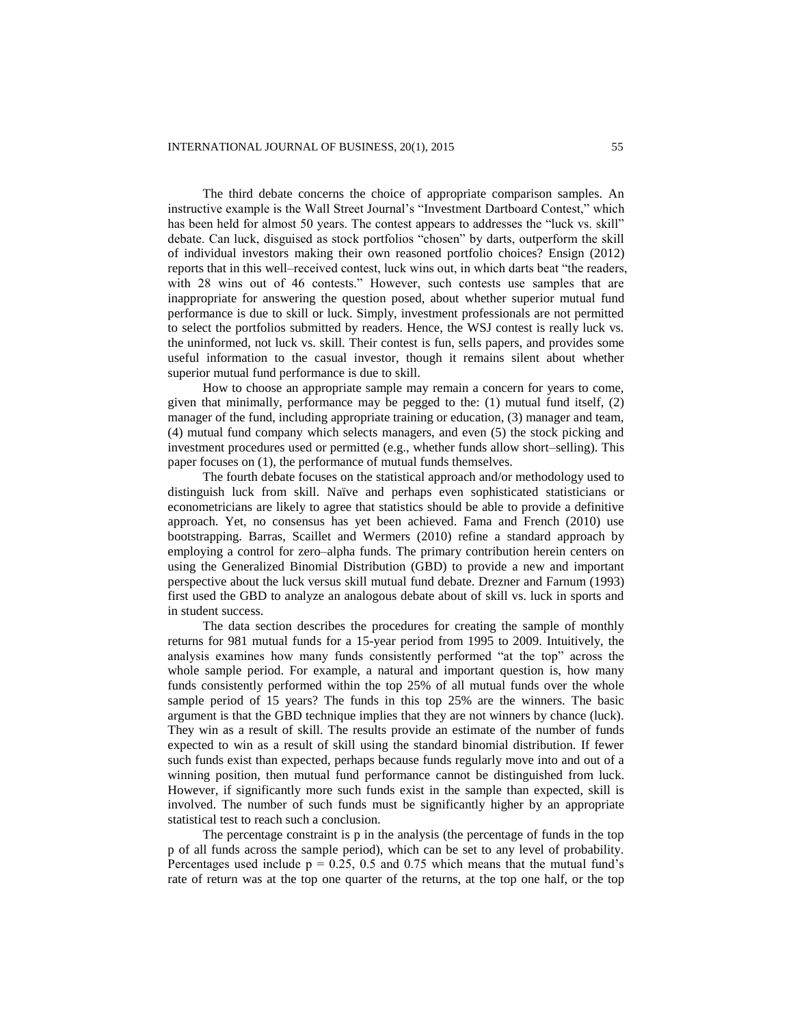The third debate concerns the choice of appropriate comparison samples. An instructive example is the Wall Street Journal's "Investment Dartboard Contest," which has been held for almost 50 years. The contest appears to addresses the "luck vs. skill" debate. Can luck, disguised as stock portfolios "chosen" by darts, outperform the skill of individual investors making their own reasoned portfolio choices? Ensign (2012) reports that in this well–received contest, luck wins out, in which darts beat "the readers, with 28 wins out of 46 contests." However, such contests use samples that are inappropriate for answering the question posed, about whether superior mutual fund performance is due to skill or luck. Simply, investment professionals are not permitted to select the portfolios submitted by readers. Hence, the WSJ contest is really luck vs. the uninformed, not luck vs. skill. Their contest is fun, sells papers, and provides some useful information to the casual investor, though it remains silent about whether superior mutual fund performance is due to skill.

How to choose an appropriate sample may remain a concern for years to come, given that minimally, performance may be pegged to the:  $(1)$  mutual fund itself,  $(2)$ manager of the fund, including appropriate training or education, (3) manager and team, (4) mutual fund company which selects managers, and even (5) the stock picking and investment procedures used or permitted (e.g., whether funds allow short–selling). This paper focuses on (1), the performance of mutual funds themselves.

The fourth debate focuses on the statistical approach and/or methodology used to distinguish luck from skill. Naïve and perhaps even sophisticated statisticians or econometricians are likely to agree that statistics should be able to provide a definitive approach. Yet, no consensus has yet been achieved. Fama and French (2010) use bootstrapping. Barras, Scaillet and Wermers (2010) refine a standard approach by employing a control for zero–alpha funds. The primary contribution herein centers on using the Generalized Binomial Distribution (GBD) to provide a new and important perspective about the luck versus skill mutual fund debate. Drezner and Farnum (1993) first used the GBD to analyze an analogous debate about of skill vs. luck in sports and in student success.

The data section describes the procedures for creating the sample of monthly returns for 981 mutual funds for a 15-year period from 1995 to 2009. Intuitively, the analysis examines how many funds consistently performed "at the top" across the whole sample period. For example, a natural and important question is, how many funds consistently performed within the top 25% of all mutual funds over the whole sample period of 15 years? The funds in this top 25% are the winners. The basic argument is that the GBD technique implies that they are not winners by chance (luck). They win as a result of skill. The results provide an estimate of the number of funds expected to win as a result of skill using the standard binomial distribution. If fewer such funds exist than expected, perhaps because funds regularly move into and out of a winning position, then mutual fund performance cannot be distinguished from luck. However, if significantly more such funds exist in the sample than expected, skill is involved. The number of such funds must be significantly higher by an appropriate statistical test to reach such a conclusion.

The percentage constraint is p in the analysis (the percentage of funds in the top p of all funds across the sample period), which can be set to any level of probability. Percentages used include  $p = 0.25, 0.5$  and 0.75 which means that the mutual fund's rate of return was at the top one quarter of the returns, at the top one half, or the top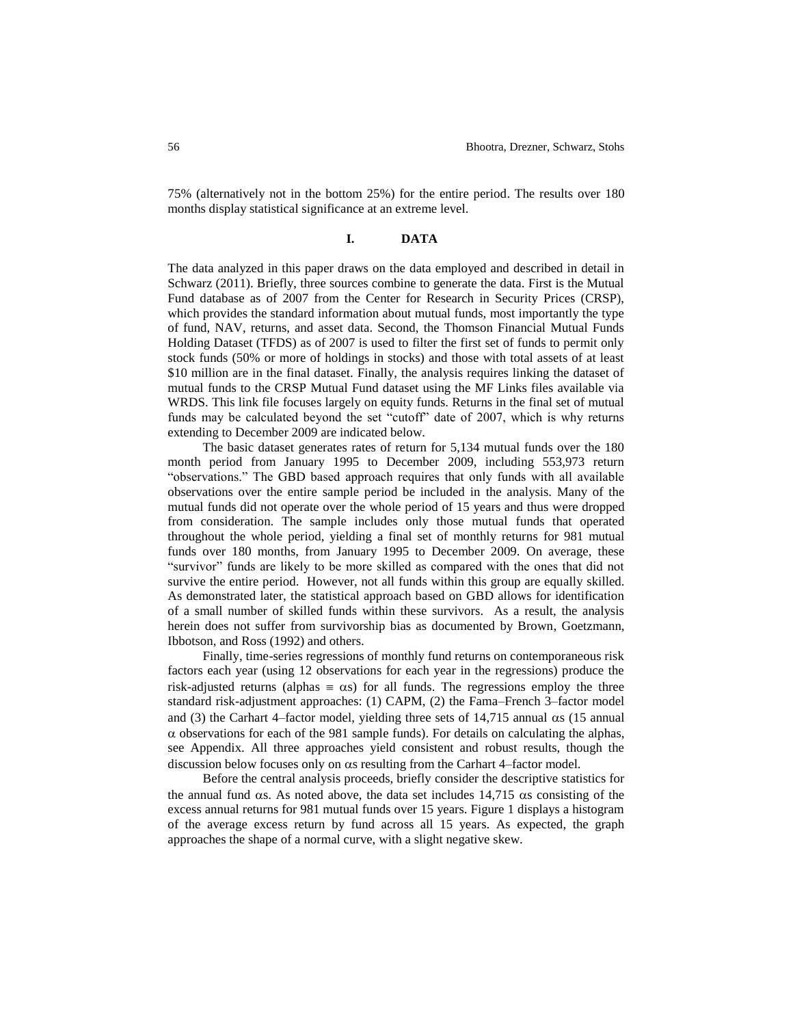75% (alternatively not in the bottom 25%) for the entire period. The results over 180 months display statistical significance at an extreme level.

#### **I. DATA**

The data analyzed in this paper draws on the data employed and described in detail in Schwarz (2011). Briefly, three sources combine to generate the data. First is the Mutual Fund database as of 2007 from the Center for Research in Security Prices (CRSP), which provides the standard information about mutual funds, most importantly the type of fund, NAV, returns, and asset data. Second, the Thomson Financial Mutual Funds Holding Dataset (TFDS) as of 2007 is used to filter the first set of funds to permit only stock funds (50% or more of holdings in stocks) and those with total assets of at least \$10 million are in the final dataset. Finally, the analysis requires linking the dataset of mutual funds to the CRSP Mutual Fund dataset using the MF Links files available via WRDS. This link file focuses largely on equity funds. Returns in the final set of mutual funds may be calculated beyond the set "cutoff" date of 2007, which is why returns extending to December 2009 are indicated below.

The basic dataset generates rates of return for 5,134 mutual funds over the 180 month period from January 1995 to December 2009, including 553,973 return "observations." The GBD based approach requires that only funds with all available observations over the entire sample period be included in the analysis. Many of the mutual funds did not operate over the whole period of 15 years and thus were dropped from consideration. The sample includes only those mutual funds that operated throughout the whole period, yielding a final set of monthly returns for 981 mutual funds over 180 months, from January 1995 to December 2009. On average, these "survivor" funds are likely to be more skilled as compared with the ones that did not survive the entire period. However, not all funds within this group are equally skilled. As demonstrated later, the statistical approach based on GBD allows for identification of a small number of skilled funds within these survivors. As a result, the analysis herein does not suffer from survivorship bias as documented by Brown, Goetzmann, Ibbotson, and Ross (1992) and others.

Finally, time-series regressions of monthly fund returns on contemporaneous risk factors each year (using 12 observations for each year in the regressions) produce the risk-adjusted returns (alphas  $\equiv \alpha s$ ) for all funds. The regressions employ the three standard risk-adjustment approaches: (1) CAPM, (2) the Fama–French 3–factor model and (3) the Carhart 4–factor model, yielding three sets of 14,715 annual  $\alpha$  (15 annual  $\alpha$  observations for each of the 981 sample funds). For details on calculating the alphas, see Appendix. All three approaches yield consistent and robust results, though the discussion below focuses only on  $\alpha$ s resulting from the Carhart 4–factor model.

Before the central analysis proceeds, briefly consider the descriptive statistics for the annual fund  $\alpha$ s. As noted above, the data set includes 14,715  $\alpha$ s consisting of the excess annual returns for 981 mutual funds over 15 years. Figure 1 displays a histogram of the average excess return by fund across all 15 years. As expected, the graph approaches the shape of a normal curve, with a slight negative skew.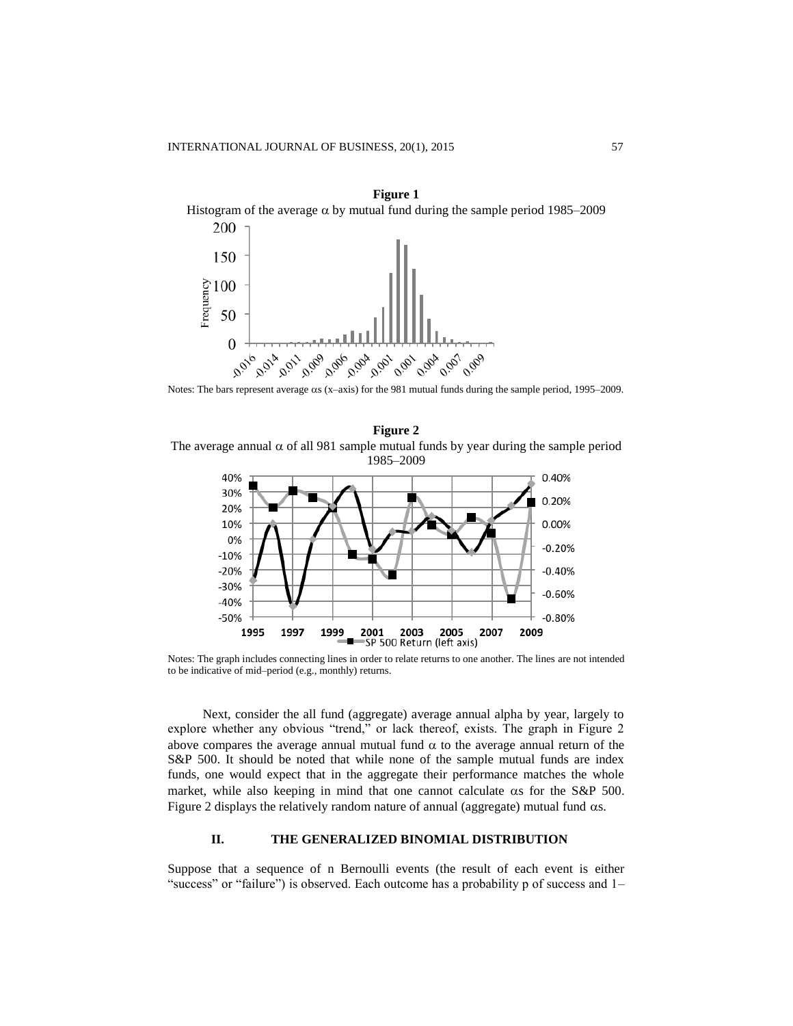

Notes: The bars represent average  $\alpha s$  (x–axis) for the 981 mutual funds during the sample period, 1995–2009.





Notes: The graph includes connecting lines in order to relate returns to one another. The lines are not intended to be indicative of mid–period (e.g., monthly) returns.

Next, consider the all fund (aggregate) average annual alpha by year, largely to explore whether any obvious "trend," or lack thereof, exists. The graph in Figure 2 above compares the average annual mutual fund  $\alpha$  to the average annual return of the S&P 500. It should be noted that while none of the sample mutual funds are index funds, one would expect that in the aggregate their performance matches the whole market, while also keeping in mind that one cannot calculate  $\alpha s$  for the S&P 500. Figure 2 displays the relatively random nature of annual (aggregate) mutual fund  $\alpha s$ .

#### **II. THE GENERALIZED BINOMIAL DISTRIBUTION**

Suppose that a sequence of n Bernoulli events (the result of each event is either "success" or "failure") is observed. Each outcome has a probability p of success and 1–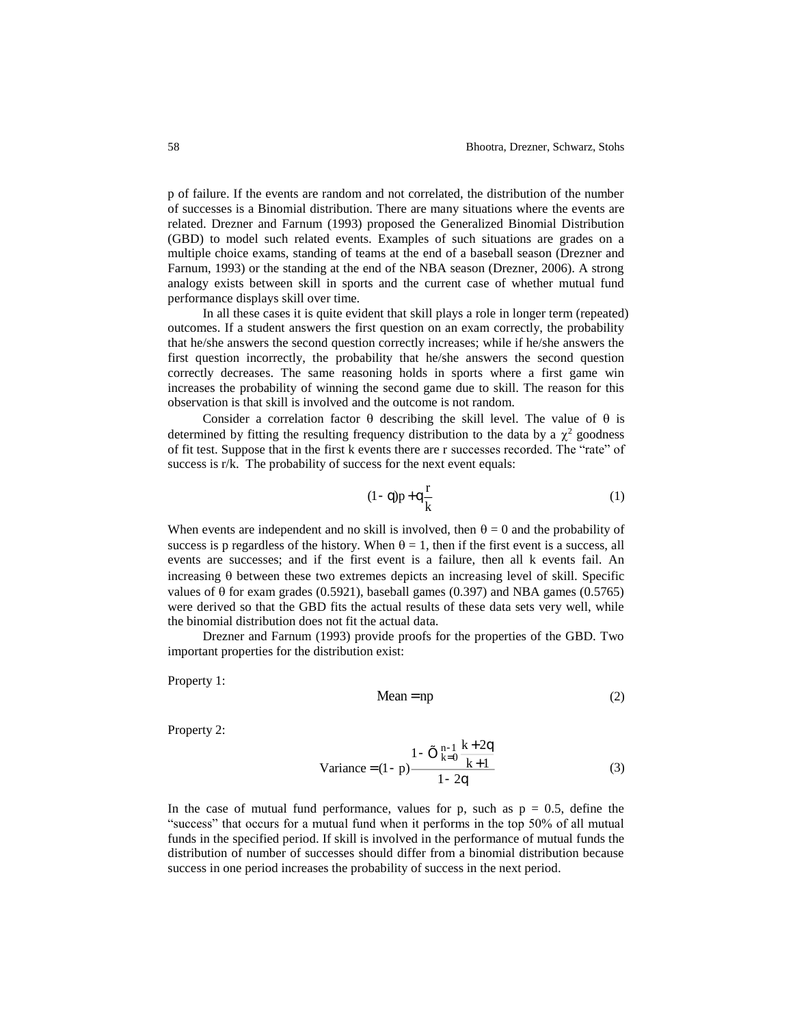p of failure. If the events are random and not correlated, the distribution of the number of successes is a Binomial distribution. There are many situations where the events are related. Drezner and Farnum (1993) proposed the Generalized Binomial Distribution (GBD) to model such related events. Examples of such situations are grades on a multiple choice exams, standing of teams at the end of a baseball season (Drezner and Farnum, 1993) or the standing at the end of the NBA season (Drezner, 2006). A strong analogy exists between skill in sports and the current case of whether mutual fund performance displays skill over time.

In all these cases it is quite evident that skill plays a role in longer term (repeated) outcomes. If a student answers the first question on an exam correctly, the probability that he/she answers the second question correctly increases; while if he/she answers the first question incorrectly, the probability that he/she answers the second question correctly decreases. The same reasoning holds in sports where a first game win increases the probability of winning the second game due to skill. The reason for this observation is that skill is involved and the outcome is not random.

Consider a correlation factor  $\theta$  describing the skill level. The value of  $\theta$  is determined by fitting the resulting frequency distribution to the data by a  $\chi^2$  goodness of fit test. Suppose that in the first k events there are r successes recorded. The "rate" of success is r/k. The probability of success for the next event equals:

$$
(1-q)p + q\frac{r}{k} \tag{1}
$$

When events are independent and no skill is involved, then  $\theta = 0$  and the probability of success is p regardless of the history. When  $\theta = 1$ , then if the first event is a success, all events are successes; and if the first event is a failure, then all k events fail. An increasing  $\theta$  between these two extremes depicts an increasing level of skill. Specific values of  $\theta$  for exam grades (0.5921), baseball games (0.397) and NBA games (0.5765) were derived so that the GBD fits the actual results of these data sets very well, while the binomial distribution does not fit the actual data.

Drezner and Farnum (1993) provide proofs for the properties of the GBD. Two important properties for the distribution exist:

Property 1:

$$
Mean = np \tag{2}
$$

Property 2:

Variance = 
$$
(1-p)\frac{1-\tilde{O}_{k=0}^{n-1} \frac{k+2q}{k+1}}{1-2q}
$$
 (3)

In the case of mutual fund performance, values for p, such as  $p = 0.5$ , define the "success" that occurs for a mutual fund when it performs in the top 50% of all mutual funds in the specified period. If skill is involved in the performance of mutual funds the distribution of number of successes should differ from a binomial distribution because success in one period increases the probability of success in the next period.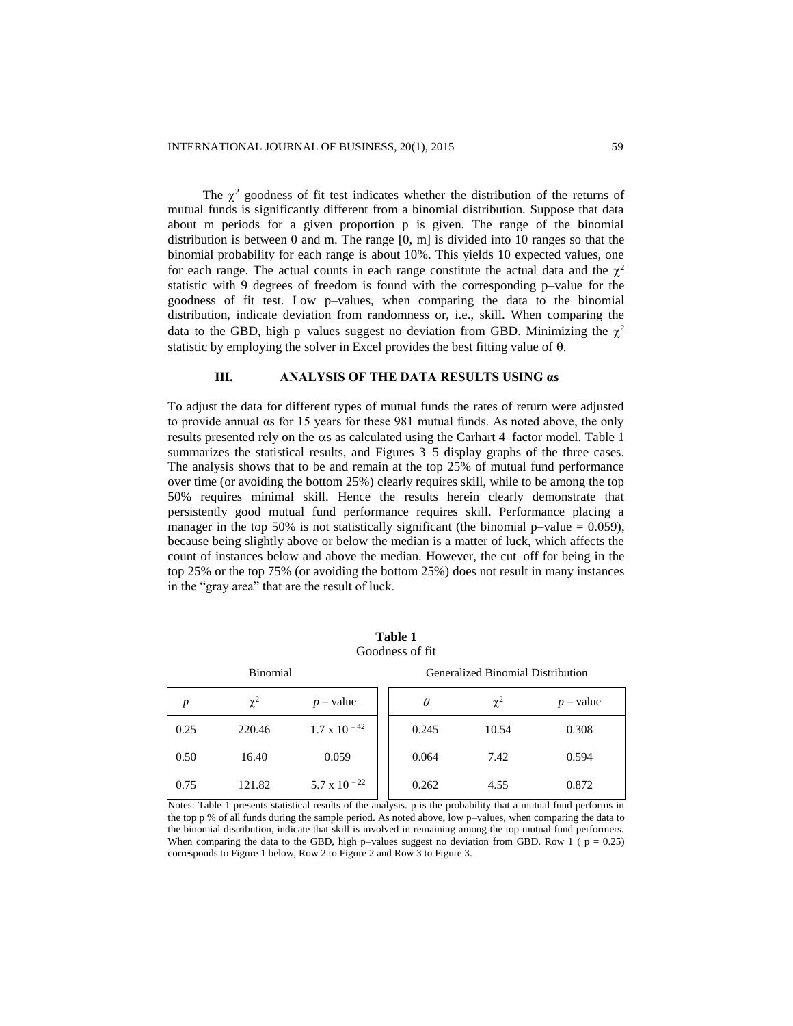The  $\chi^2$  goodness of fit test indicates whether the distribution of the returns of mutual funds is significantly different from a binomial distribution. Suppose that data about m periods for a given proportion p is given. The range of the binomial distribution is between 0 and m. The range  $[0, m]$  is divided into 10 ranges so that the binomial probability for each range is about 10%. This yields 10 expected values, one for each range. The actual counts in each range constitute the actual data and the  $\chi^2$ statistic with 9 degrees of freedom is found with the corresponding p–value for the goodness of fit test. Low p–values, when comparing the data to the binomial distribution, indicate deviation from randomness or, i.e., skill. When comparing the data to the GBD, high p-values suggest no deviation from GBD. Minimizing the  $\chi^2$ statistic by employing the solver in Excel provides the best fitting value of  $\theta$ .

# **III. ANALYSIS OF THE DATA RESULTS USING αs**

To adjust the data for different types of mutual funds the rates of return were adjusted to provide annual αs for 15 years for these 981 mutual funds. As noted above, the only results presented rely on the  $\alpha$ s as calculated using the Carhart 4–factor model. Table 1 summarizes the statistical results, and Figures 3–5 display graphs of the three cases. The analysis shows that to be and remain at the top 25% of mutual fund performance over time (or avoiding the bottom 25%) clearly requires skill, while to be among the top 50% requires minimal skill. Hence the results herein clearly demonstrate that persistently good mutual fund performance requires skill. Performance placing a manager in the top 50% is not statistically significant (the binomial p–value =  $0.059$ ), because being slightly above or below the median is a matter of luck, which affects the count of instances below and above the median. However, the cut–off for being in the top 25% or the top 75% (or avoiding the bottom 25%) does not result in many instances in the "gray area" that are the result of luck.

| <b>Binomial</b> |          |                       |  | <b>Generalized Binomial Distribution</b> |          |             |  |
|-----------------|----------|-----------------------|--|------------------------------------------|----------|-------------|--|
| p               | $\chi^2$ | $p$ – value           |  | $\theta$                                 | $\chi^2$ | $p$ – value |  |
| 0.25            | 220.46   | $1.7 \times 10^{-42}$ |  | 0.245                                    | 10.54    | 0.308       |  |
| 0.50            | 16.40    | 0.059                 |  | 0.064                                    | 7.42     | 0.594       |  |
| 0.75            | 121.82   | 5.7 x 10 $^{-22}$     |  | 0.262                                    | 4.55     | 0.872       |  |

**Table 1** Goodness of fit

Notes: Table 1 presents statistical results of the analysis. p is the probability that a mutual fund performs in the top p % of all funds during the sample period. As noted above, low p–values, when comparing the data to the binomial distribution, indicate that skill is involved in remaining among the top mutual fund performers. When comparing the data to the GBD, high p–values suggest no deviation from GBD. Row 1 ( $p = 0.25$ ) corresponds to Figure 1 below, Row 2 to Figure 2 and Row 3 to Figure 3.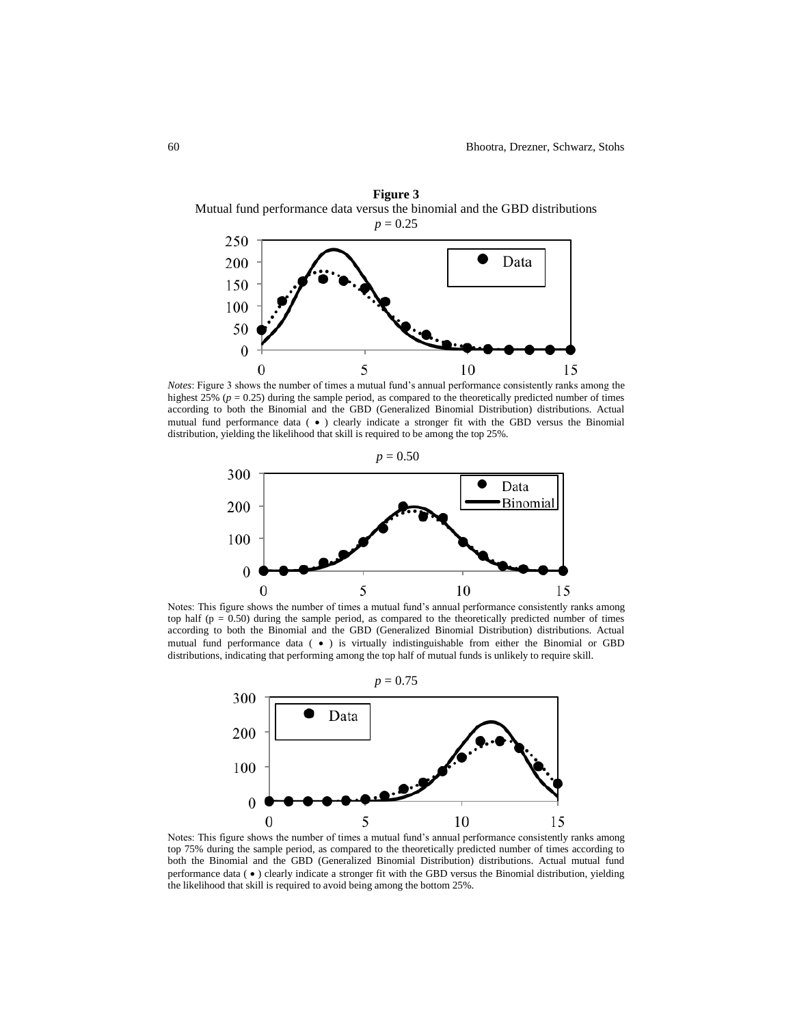

*Notes*: Figure 3 shows the number of times a mutual fund's annual performance consistently ranks among the highest 25% (*p* = 0.25) during the sample period, as compared to the theoretically predicted number of times according to both the Binomial and the GBD (Generalized Binomial Distribution) distributions. Actual mutual fund performance data ( $\bullet$ ) clearly indicate a stronger fit with the GBD versus the Binomial distribution, yielding the likelihood that skill is required to be among the top 25%.



Notes: This figure shows the number of times a mutual fund's annual performance consistently ranks among top half ( $p = 0.50$ ) during the sample period, as compared to the theoretically predicted number of times according to both the Binomial and the GBD (Generalized Binomial Distribution) distributions. Actual mutual fund performance data  $(\bullet)$  is virtually indistinguishable from either the Binomial or GBD distributions, indicating that performing among the top half of mutual funds is unlikely to require skill.



Notes: This figure shows the number of times a mutual fund's annual performance consistently ranks among top 75% during the sample period, as compared to the theoretically predicted number of times according to both the Binomial and the GBD (Generalized Binomial Distribution) distributions. Actual mutual fund performance data ( $\bullet$ ) clearly indicate a stronger fit with the GBD versus the Binomial distribution, yielding the likelihood that skill is required to avoid being among the bottom 25%.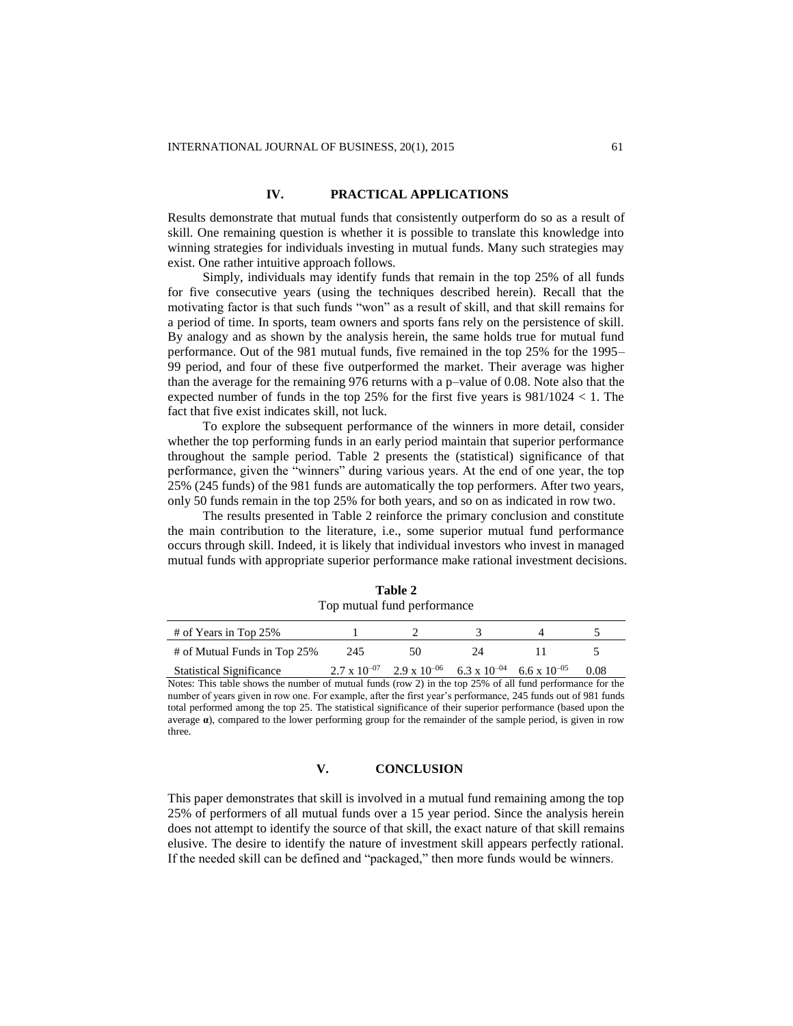# **IV. PRACTICAL APPLICATIONS**

Results demonstrate that mutual funds that consistently outperform do so as a result of skill. One remaining question is whether it is possible to translate this knowledge into winning strategies for individuals investing in mutual funds. Many such strategies may exist. One rather intuitive approach follows.

Simply, individuals may identify funds that remain in the top 25% of all funds for five consecutive years (using the techniques described herein). Recall that the motivating factor is that such funds "won" as a result of skill, and that skill remains for a period of time. In sports, team owners and sports fans rely on the persistence of skill. By analogy and as shown by the analysis herein, the same holds true for mutual fund performance. Out of the 981 mutual funds, five remained in the top 25% for the 1995– 99 period, and four of these five outperformed the market. Their average was higher than the average for the remaining 976 returns with a p–value of 0.08. Note also that the expected number of funds in the top  $25\%$  for the first five years is  $981/1024 < 1$ . The fact that five exist indicates skill, not luck.

To explore the subsequent performance of the winners in more detail, consider whether the top performing funds in an early period maintain that superior performance throughout the sample period. Table 2 presents the (statistical) significance of that performance, given the "winners" during various years. At the end of one year, the top 25% (245 funds) of the 981 funds are automatically the top performers. After two years, only 50 funds remain in the top 25% for both years, and so on as indicated in row two.

The results presented in Table 2 reinforce the primary conclusion and constitute the main contribution to the literature, i.e., some superior mutual fund performance occurs through skill. Indeed, it is likely that individual investors who invest in managed mutual funds with appropriate superior performance make rational investment decisions.

| Top mutual fund performance     |     |                                                                                         |    |  |      |  |  |  |  |  |
|---------------------------------|-----|-----------------------------------------------------------------------------------------|----|--|------|--|--|--|--|--|
| # of Years in Top 25%           |     |                                                                                         |    |  |      |  |  |  |  |  |
| # of Mutual Funds in Top 25%    | 245 | 50                                                                                      | 24 |  |      |  |  |  |  |  |
| <b>Statistical Significance</b> |     | $2.7 \times 10^{-07}$ $2.9 \times 10^{-06}$ $6.3 \times 10^{-04}$ $6.6 \times 10^{-05}$ |    |  | 0.08 |  |  |  |  |  |

**Table 2** Top mutual fund performance

Notes: This table shows the number of mutual funds (row 2) in the top 25% of all fund performance for the number of years given in row one. For example, after the first year's performance, 245 funds out of 981 funds total performed among the top 25. The statistical significance of their superior performance (based upon the average **α**), compared to the lower performing group for the remainder of the sample period, is given in row three.

# **V. CONCLUSION**

This paper demonstrates that skill is involved in a mutual fund remaining among the top 25% of performers of all mutual funds over a 15 year period. Since the analysis herein does not attempt to identify the source of that skill, the exact nature of that skill remains elusive. The desire to identify the nature of investment skill appears perfectly rational. If the needed skill can be defined and "packaged," then more funds would be winners.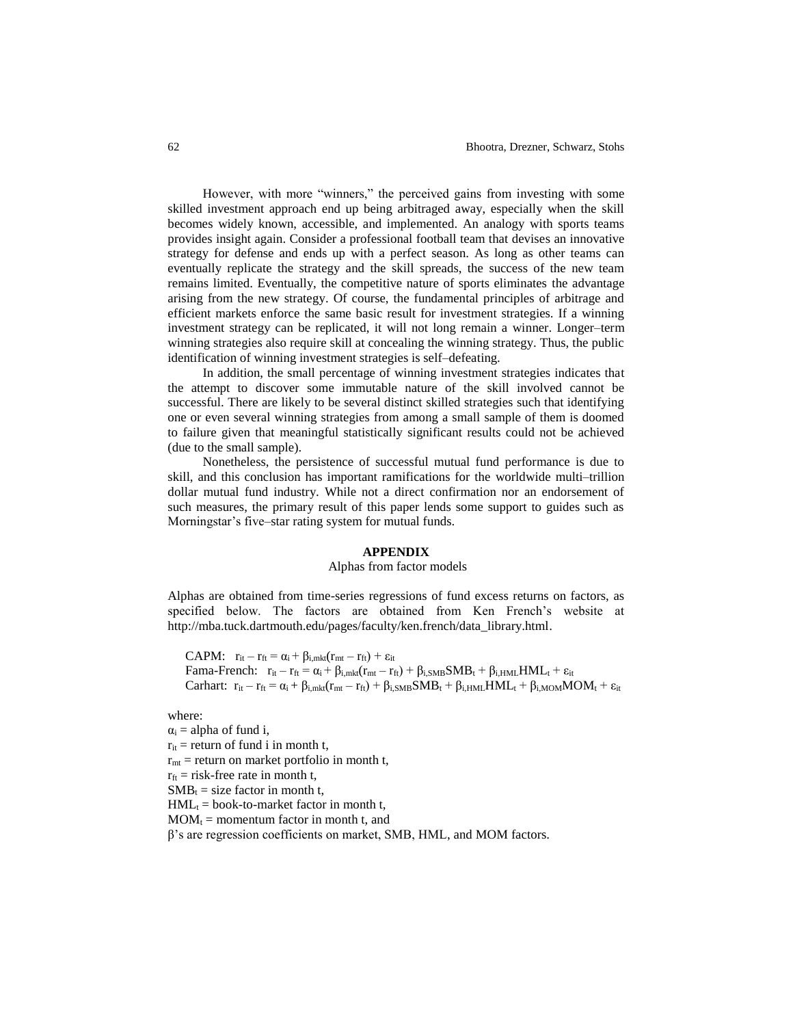However, with more "winners," the perceived gains from investing with some skilled investment approach end up being arbitraged away, especially when the skill becomes widely known, accessible, and implemented. An analogy with sports teams provides insight again. Consider a professional football team that devises an innovative strategy for defense and ends up with a perfect season. As long as other teams can eventually replicate the strategy and the skill spreads, the success of the new team remains limited. Eventually, the competitive nature of sports eliminates the advantage arising from the new strategy. Of course, the fundamental principles of arbitrage and efficient markets enforce the same basic result for investment strategies. If a winning investment strategy can be replicated, it will not long remain a winner. Longer–term winning strategies also require skill at concealing the winning strategy. Thus, the public identification of winning investment strategies is self–defeating.

In addition, the small percentage of winning investment strategies indicates that the attempt to discover some immutable nature of the skill involved cannot be successful. There are likely to be several distinct skilled strategies such that identifying one or even several winning strategies from among a small sample of them is doomed to failure given that meaningful statistically significant results could not be achieved (due to the small sample).

Nonetheless, the persistence of successful mutual fund performance is due to skill, and this conclusion has important ramifications for the worldwide multi–trillion dollar mutual fund industry. While not a direct confirmation nor an endorsement of such measures, the primary result of this paper lends some support to guides such as Morningstar's five–star rating system for mutual funds.

#### **APPENDIX**

#### Alphas from factor models

Alphas are obtained from time-series regressions of fund excess returns on factors, as specified below. The factors are obtained from Ken French's website at [http://mba.tuck.dartmouth.edu/pages/faculty/ken.french/data\\_library.html.](http://mba.tuck.dartmouth.edu/pages/faculty/ken.french/data_library.html)

CAPM:  $r_{it} - r_{ft} = \alpha_i + \beta_{i,mkt}(r_{mt} - r_{ft}) + \varepsilon_{it}$ Fama-French:  $r_{it} - r_{ft} = \alpha_i + \beta_{i,mkt}(r_{mt} - r_{ft}) + \beta_{i,SMB}SMB_t + \beta_{i,HML}HML_t + \varepsilon_{it}$ Carhart:  $r_{it} - r_{ft} = \alpha_i + \beta_{i,mkt}(r_{mt} - r_{ft}) + \beta_{i,SMB}SMB_t + \beta_{i,HML}HML_t + \beta_{i,MOM}MOM_t + \epsilon_{it}$ 

where:

 $\alpha_i$  = alpha of fund i,  $r_{it}$  = return of fund i in month t,  $r_{mt}$  = return on market portfolio in month t,  $r_{\text{ft}}$  = risk-free rate in month t,  $SMB_t = size$  factor in month t,  $HML_t = book-to-market factor in month t,$  $MOM_t =$  momentum factor in month t, and β's are regression coefficients on market, SMB, HML, and MOM factors.